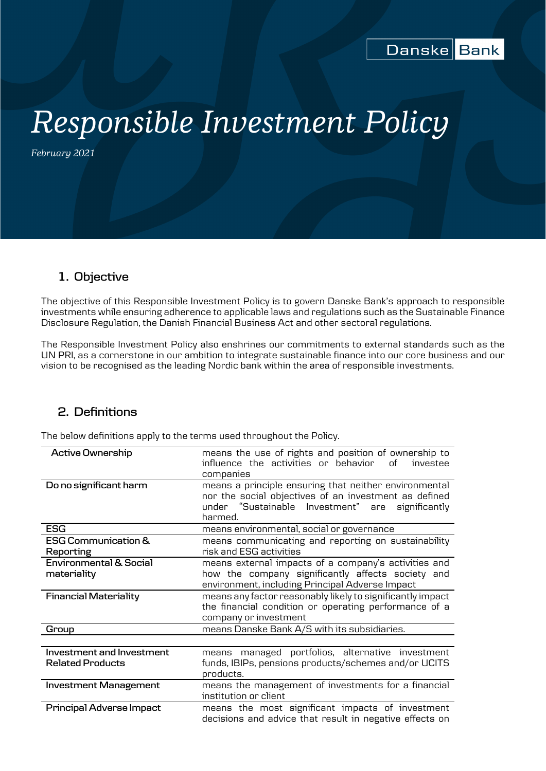# *Responsible Investment Policy*

*February 2021*

# **1. Objective**

The objective of this Responsible Investment Policy is to govern Danske Bank's approach to responsible investments while ensuring adherence to applicable laws and regulations such as the Sustainable Finance Disclosure Regulation, the Danish Financial Business Act and other sectoral regulations.

The Responsible Investment Policy also enshrines our commitments to external standards such as the UN PRI, as a cornerstone in our ambition to integrate sustainable finance into our core business and our vision to be recognised as the leading Nordic bank within the area of responsible investments.

# **2. Definitions**

The below definitions apply to the terms used throughout the Policy.

| <b>Active Ownership</b>                              | means the use of rights and position of ownership to<br>influence the activities or behavior<br>Ωf<br>investee<br>companies                                                   |
|------------------------------------------------------|-------------------------------------------------------------------------------------------------------------------------------------------------------------------------------|
| Do no significant harm                               | means a principle ensuring that neither environmental<br>nor the social objectives of an investment as defined<br>under "Sustainable Investment" are significantly<br>harmed. |
| <b>ESG</b>                                           | means environmental, social or governance                                                                                                                                     |
| <b>ESG Communication &amp;</b><br>Reporting          | means communicating and reporting on sustainability<br>risk and ESG activities                                                                                                |
| <b>Environmental &amp; Social</b><br>materiality     | means external impacts of a company's activities and<br>how the company significantly affects society and<br>environment, including Principal Adverse Impact                  |
| <b>Financial Materiality</b>                         | means any factor reasonably likely to significantly impact<br>the financial condition or operating performance of a<br>company or investment                                  |
| Group                                                | means Danske Bank A/S with its subsidiaries.                                                                                                                                  |
|                                                      |                                                                                                                                                                               |
| Investment and Investment<br><b>Related Products</b> | means managed portfolios, alternative investment<br>funds, IBIPs, pensions products/schemes and/or UCITS<br>products.                                                         |
| <b>Investment Management</b>                         | means the management of investments for a financial<br>institution or client                                                                                                  |
| Principal Adverse Impact                             | means the most significant impacts of investment<br>decisions and advice that result in negative effects on                                                                   |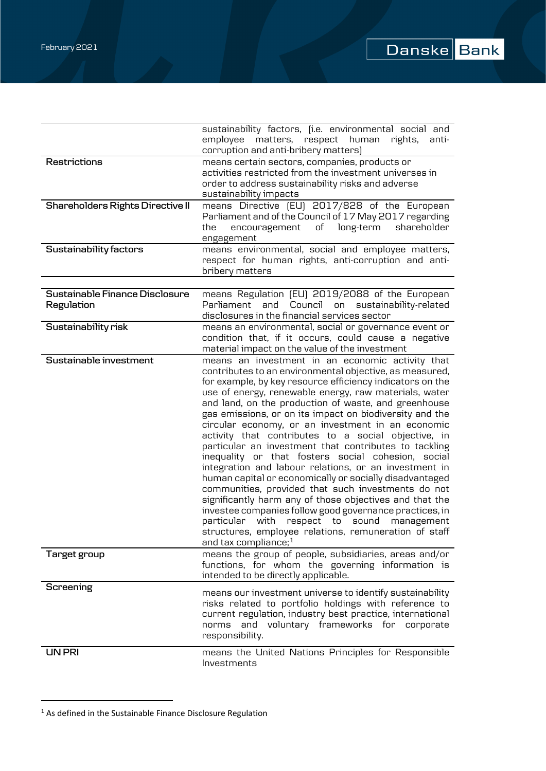|                                              | sustainability factors, (i.e. environmental social and<br>employee matters, respect human<br>rights,<br>anti-<br>corruption and anti-bribery matters)                                                                                                                                                                                                                                                                                                                                                                                                                                                                                                                                                                                                                                                                                                                                                                                                                                                                       |
|----------------------------------------------|-----------------------------------------------------------------------------------------------------------------------------------------------------------------------------------------------------------------------------------------------------------------------------------------------------------------------------------------------------------------------------------------------------------------------------------------------------------------------------------------------------------------------------------------------------------------------------------------------------------------------------------------------------------------------------------------------------------------------------------------------------------------------------------------------------------------------------------------------------------------------------------------------------------------------------------------------------------------------------------------------------------------------------|
| <b>Restrictions</b>                          | means certain sectors, companies, products or<br>activities restricted from the investment universes in<br>order to address sustainability risks and adverse<br>sustainability impacts                                                                                                                                                                                                                                                                                                                                                                                                                                                                                                                                                                                                                                                                                                                                                                                                                                      |
| <b>Shareholders Rights Directive II</b>      | means Directive [EU] 2017/828 of the European<br>Parliament and of the Council of 17 May 2017 regarding<br>of<br>long-term<br>shareholder<br>the<br>encouragement<br>engagement                                                                                                                                                                                                                                                                                                                                                                                                                                                                                                                                                                                                                                                                                                                                                                                                                                             |
| Sustainability factors                       | means environmental, social and employee matters,<br>respect for human rights, anti-corruption and anti-<br>bribery matters                                                                                                                                                                                                                                                                                                                                                                                                                                                                                                                                                                                                                                                                                                                                                                                                                                                                                                 |
|                                              |                                                                                                                                                                                                                                                                                                                                                                                                                                                                                                                                                                                                                                                                                                                                                                                                                                                                                                                                                                                                                             |
| Sustainable Finance Disclosure<br>Regulation | means Regulation (EU) 2019/2088 of the European<br>Parliament and Council on<br>sustainability-related<br>disclosures in the financial services sector                                                                                                                                                                                                                                                                                                                                                                                                                                                                                                                                                                                                                                                                                                                                                                                                                                                                      |
| Sustainability risk                          | means an environmental, social or governance event or<br>condition that, if it occurs, could cause a negative<br>material impact on the value of the investment                                                                                                                                                                                                                                                                                                                                                                                                                                                                                                                                                                                                                                                                                                                                                                                                                                                             |
| Sustainable investment                       | means an investment in an economic activity that<br>contributes to an environmental objective, as measured,<br>for example, by key resource efficiency indicators on the<br>use of energy, renewable energy, raw materials, water<br>and land, on the production of waste, and greenhouse<br>gas emissions, or on its impact on biodiversity and the<br>circular economy, or an investment in an economic<br>activity that contributes to a social objective, in<br>particular an investment that contributes to tackling<br>inequality or that fosters social cohesion, social<br>integration and labour relations, or an investment in<br>human capital or economically or socially disadvantaged<br>communities, provided that such investments do not<br>significantly harm any of those objectives and that the<br>investee companies follow good governance practices, in<br>particular<br>with<br>respect to sound<br>management<br>structures, employee relations, remuneration of staff<br>and tax compliance; $1$ |
| Target group                                 | means the group of people, subsidiaries, areas and/or<br>functions, for whom the governing information is<br>intended to be directly applicable.                                                                                                                                                                                                                                                                                                                                                                                                                                                                                                                                                                                                                                                                                                                                                                                                                                                                            |
| Screening                                    | means our investment universe to identify sustainability<br>risks related to portfolio holdings with reference to<br>current regulation, industry best practice, international<br>and voluntary frameworks for corporate<br>norms<br>responsibility.                                                                                                                                                                                                                                                                                                                                                                                                                                                                                                                                                                                                                                                                                                                                                                        |
| <b>UN PRI</b>                                | means the United Nations Principles for Responsible<br>Investments                                                                                                                                                                                                                                                                                                                                                                                                                                                                                                                                                                                                                                                                                                                                                                                                                                                                                                                                                          |

<span id="page-1-0"></span> $^1$  As defined in the Sustainable Finance Disclosure Regulation

I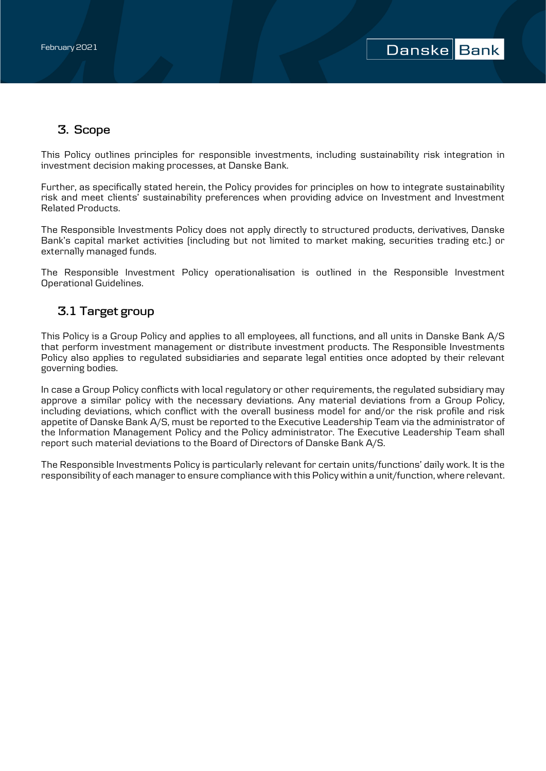# **3. Scope**

This Policy outlines principles for responsible investments, including sustainability risk integration in investment decision making processes, at Danske Bank.

Further, as specifically stated herein, the Policy provides for principles on how to integrate sustainability risk and meet clients' sustainability preferences when providing advice on Investment and Investment Related Products.

The Responsible Investments Policy does not apply directly to structured products, derivatives, Danske Bank's capital market activities (including but not limited to market making, securities trading etc.) or externally managed funds.

The Responsible Investment Policy operationalisation is outlined in the Responsible Investment Operational Guidelines.

# **3.1 Target group**

This Policy is a Group Policy and applies to all employees, all functions, and all units in Danske Bank A/S that perform investment management or distribute investment products. The Responsible Investments Policy also applies to regulated subsidiaries and separate legal entities once adopted by their relevant governing bodies.

In case a Group Policy conflicts with local regulatory or other requirements, the regulated subsidiary may approve a similar policy with the necessary deviations. Any material deviations from a Group Policy, including deviations, which conflict with the overall business model for and/or the risk profile and risk appetite of Danske Bank A/S, must be reported to the Executive Leadership Team via the administrator of the Information Management Policy and the Policy administrator. The Executive Leadership Team shall report such material deviations to the Board of Directors of Danske Bank A/S.

The Responsible Investments Policy is particularly relevant for certain units/functions' daily work. It is the responsibility of each manager to ensure compliance with this Policy within a unit/function, where relevant.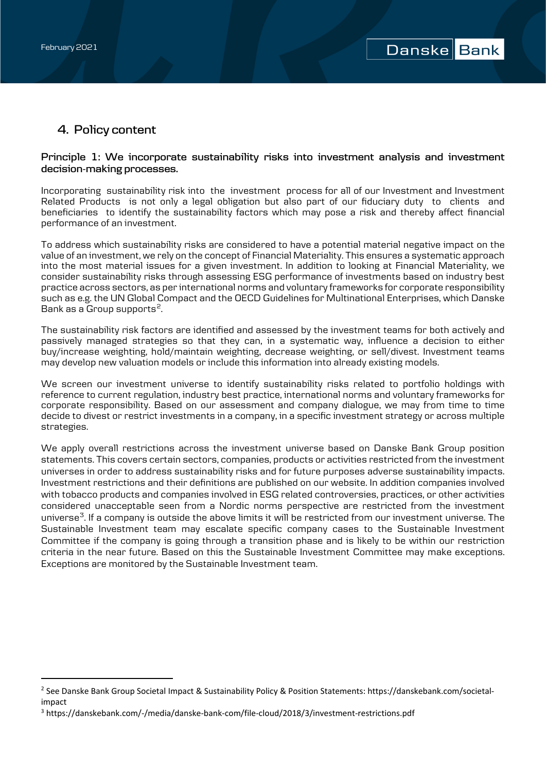I

# **4. Policy content**

## **Principle 1: We incorporate sustainability risks into investment analysis and investment decision-making processes.**

Incorporating sustainability risk into the investment process for all of our Investment and Investment Related Products is not only a legal obligation but also part of our fiduciary duty to clients and beneficiaries to identify the sustainability factors which may pose a risk and thereby affect financial performance of an investment.

To address which sustainability risks are considered to have a potential material negative impact on the value of an investment, we rely on the concept of Financial Materiality. This ensures a systematic approach into the most material issues for a given investment. In addition to looking at Financial Materiality, we consider sustainability risks through assessing ESG performance of investments based on industry best practice across sectors, as per international norms and voluntary frameworks for corporate responsibility such as e.g. the UN Global Compact and the OECD Guidelines for Multinational Enterprises, which Danske Bank as a Group supports<sup>2</sup>.

The sustainability risk factors are identified and assessed by the investment teams for both actively and passively managed strategies so that they can, in a systematic way, influence a decision to either buy/increase weighting, hold/maintain weighting, decrease weighting, or sell/divest. Investment teams may develop new valuation models or include this information into already existing models.

We screen our investment universe to identify sustainability risks related to portfolio holdings with reference to current regulation, industry best practice, international norms and voluntary frameworks for corporate responsibility. Based on our assessment and company dialogue, we may from time to time decide to divest or restrict investments in a company, in a specific investment strategy or across multiple strategies.

We apply overall restrictions across the investment universe based on Danske Bank Group position statements. This covers certain sectors, companies, products or activities restricted from the investment universes in order to address sustainability risks and for future purposes adverse sustainability impacts. Investment restrictions and their definitions are published on our website. In addition companies involved with tobacco products and companies involved in ESG related controversies, practices, or other activities considered unacceptable seen from a Nordic norms perspective are restricted from the investment universe<sup>3</sup>. If a company is outside the above limits it will be restricted from our investment universe. The Sustainable Investment team may escalate specific company cases to the Sustainable Investment Committee if the company is going through a transition phase and is likely to be within our restriction criteria in the near future. Based on this the Sustainable Investment Committee may make exceptions. Exceptions are monitored by the Sustainable Investment team.

<span id="page-3-0"></span><sup>2</sup> See Danske Bank Group Societal Impact & Sustainability Policy & Position Statements: https://danskebank.com/societalimpact

<span id="page-3-1"></span><sup>3</sup> https://danskebank.com/-/media/danske-bank-com/file-cloud/2018/3/investment-restrictions.pdf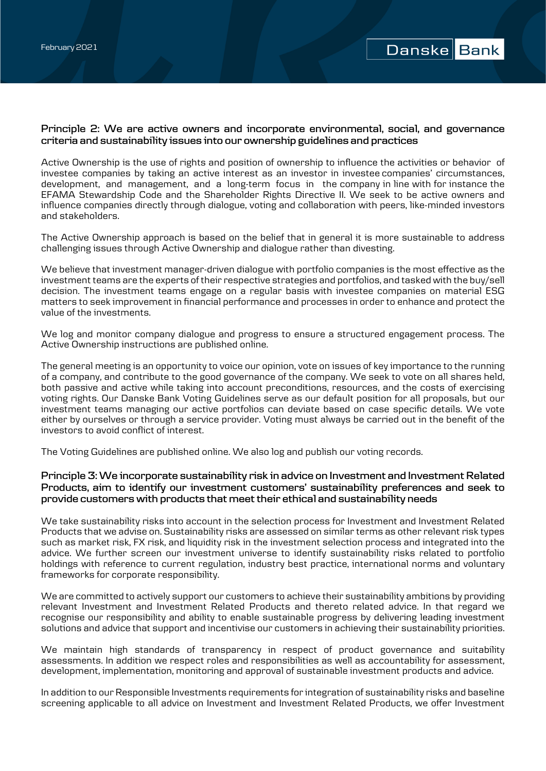## **Principle 2: We are active owners and incorporate environmental, social, and governance criteria and sustainability issues into our ownership guidelines and practices**

Active Ownership is the use of rights and position of ownership to influence the activities or behavior of investee companies by taking an active interest as an investor in investee companies' circumstances, development, and management, and a long-term focus in the company in line with for instance the EFAMA Stewardship Code and the Shareholder Rights Directive II. We seek to be active owners and influence companies directly through dialogue, voting and collaboration with peers, like-minded investors and stakeholders.

The Active Ownership approach is based on the belief that in general it is more sustainable to address challenging issues through Active Ownership and dialogue rather than divesting.

We believe that investment manager-driven dialogue with portfolio companies is the most effective as the investment teams are the experts of their respective strategies and portfolios, and tasked with the buy/sell decision. The investment teams engage on a regular basis with investee companies on material ESG matters to seek improvement in financial performance and processes in order to enhance and protect the value of the investments.

We log and monitor company dialogue and progress to ensure a structured engagement process. The Active Ownership instructions are published online.

The general meeting is an opportunity to voice our opinion, vote on issues of key importance to the running of a company, and contribute to the good governance of the company. We seek to vote on all shares held, both passive and active while taking into account preconditions, resources, and the costs of exercising voting rights. Our Danske Bank Voting Guidelines serve as our default position for all proposals, but our investment teams managing our active portfolios can deviate based on case specific details. We vote either by ourselves or through a service provider. Voting must always be carried out in the benefit of the investors to avoid conflict of interest.

The Voting Guidelines are published online. We also log and publish our voting records.

## **Principle 3: We incorporate sustainability risk in advice on Investment and Investment Related Products, aim to identify our investment customers' sustainability preferences and seek to provide customers with products that meet their ethical and sustainability needs**

We take sustainability risks into account in the selection process for Investment and Investment Related Products that we advise on. Sustainability risks are assessed on similar terms as other relevant risk types such as market risk, FX risk, and liquidity risk in the investment selection process and integrated into the advice. We further screen our investment universe to identify sustainability risks related to portfolio holdings with reference to current regulation, industry best practice, international norms and voluntary frameworks for corporate responsibility.

We are committed to actively support our customers to achieve their sustainability ambitions by providing relevant Investment and Investment Related Products and thereto related advice. In that regard we recognise our responsibility and ability to enable sustainable progress by delivering leading investment solutions and advice that support and incentivise our customers in achieving their sustainability priorities.

We maintain high standards of transparency in respect of product governance and suitability assessments. In addition we respect roles and responsibilities as well as accountability for assessment, development, implementation, monitoring and approval of sustainable investment products and advice.

In addition to our Responsible Investments requirements for integration of sustainability risks and baseline screening applicable to all advice on Investment and Investment Related Products, we offer Investment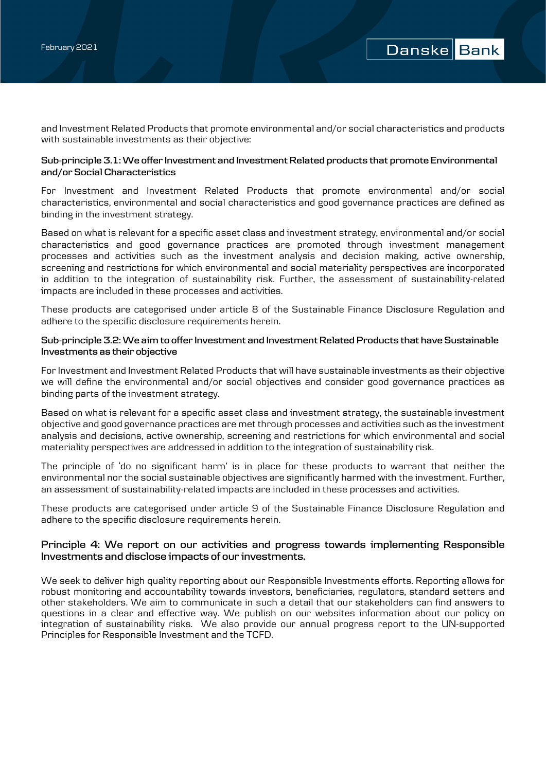and Investment Related Products that promote environmental and/or social characteristics and products with sustainable investments as their objective:

### **Sub-principle 3.1: We offer Investment and Investment Related products that promote Environmental and/or Social Characteristics**

For Investment and Investment Related Products that promote environmental and/or social characteristics, environmental and social characteristics and good governance practices are defined as binding in the investment strategy.

Based on what is relevant for a specific asset class and investment strategy, environmental and/or social characteristics and good governance practices are promoted through investment management processes and activities such as the investment analysis and decision making, active ownership, screening and restrictions for which environmental and social materiality perspectives are incorporated in addition to the integration of sustainability risk. Further, the assessment of sustainability-related impacts are included in these processes and activities.

These products are categorised under article 8 of the Sustainable Finance Disclosure Regulation and adhere to the specific disclosure requirements herein.

## **Sub-principle 3.2: We aim to offer Investment and Investment Related Products that have Sustainable Investments as their objective**

For Investment and Investment Related Products that will have sustainable investments as their objective we will define the environmental and/or social objectives and consider good governance practices as binding parts of the investment strategy.

Based on what is relevant for a specific asset class and investment strategy, the sustainable investment objective and good governance practices are met through processes and activities such as the investment analysis and decisions, active ownership, screening and restrictions for which environmental and social materiality perspectives are addressed in addition to the integration of sustainability risk.

The principle of 'do no significant harm' is in place for these products to warrant that neither the environmental nor the social sustainable objectives are significantly harmed with the investment. Further, an assessment of sustainability-related impacts are included in these processes and activities.

These products are categorised under article 9 of the Sustainable Finance Disclosure Regulation and adhere to the specific disclosure requirements herein.

## **Principle 4: We report on our activities and progress towards implementing Responsible Investments and disclose impacts of our investments.**

We seek to deliver high quality reporting about our Responsible Investments efforts. Reporting allows for robust monitoring and accountability towards investors, beneficiaries, regulators, standard setters and other stakeholders. We aim to communicate in such a detail that our stakeholders can find answers to questions in a clear and effective way. We publish on our websites information about our policy on integration of sustainability risks. We also provide our annual progress report to the UN-supported Principles for Responsible Investment and the TCFD.